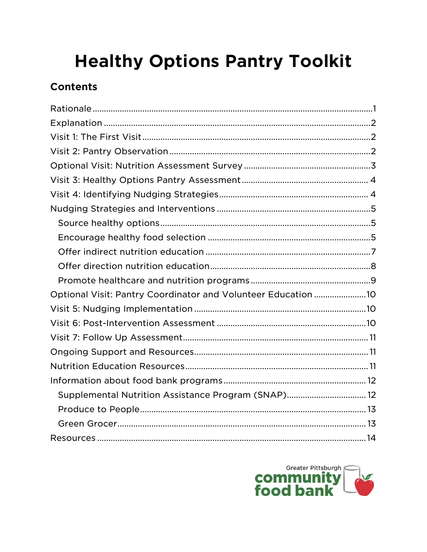# **Healthy Options Pantry Toolkit**

# **Contents**

| Optional Visit: Pantry Coordinator and Volunteer Education 10 |  |
|---------------------------------------------------------------|--|
|                                                               |  |
|                                                               |  |
|                                                               |  |
|                                                               |  |
|                                                               |  |
|                                                               |  |
| Supplemental Nutrition Assistance Program (SNAP) 12           |  |
|                                                               |  |
|                                                               |  |
|                                                               |  |

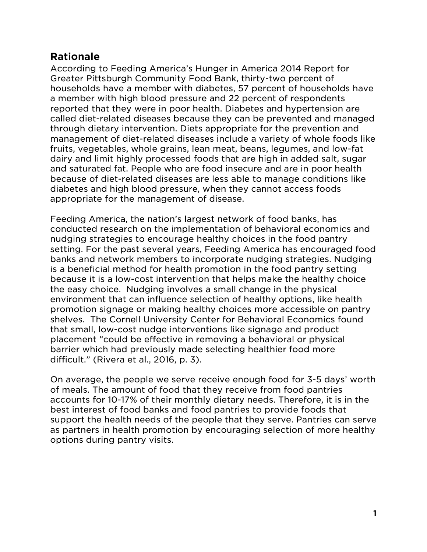# <span id="page-1-0"></span>**Rationale**

According to Feeding America's Hunger in America 2014 Report for Greater Pittsburgh Community Food Bank, thirty-two percent of households have a member with diabetes, 57 percent of households have a member with high blood pressure and 22 percent of respondents reported that they were in poor health. Diabetes and hypertension are called diet-related diseases because they can be prevented and managed through dietary intervention. Diets appropriate for the prevention and management of diet-related diseases include a variety of whole foods like fruits, vegetables, whole grains, lean meat, beans, legumes, and low-fat dairy and limit highly processed foods that are high in added salt, sugar and saturated fat. People who are food insecure and are in poor health because of diet-related diseases are less able to manage conditions like diabetes and high blood pressure, when they cannot access foods appropriate for the management of disease.

Feeding America, the nation's largest network of food banks, has conducted research on the implementation of behavioral economics and nudging strategies to encourage healthy choices in the food pantry setting. For the past several years, Feeding America has encouraged food banks and network members to incorporate nudging strategies. Nudging is a beneficial method for health promotion in the food pantry setting because it is a low-cost intervention that helps make the healthy choice the easy choice. Nudging involves a small change in the physical environment that can influence selection of healthy options, like health promotion signage or making healthy choices more accessible on pantry shelves. The Cornell University Center for Behavioral Economics found that small, low-cost nudge interventions like signage and product placement "could be effective in removing a behavioral or physical barrier which had previously made selecting healthier food more difficult." (Rivera et al., 2016, p. 3).

On average, the people we serve receive enough food for 3-5 days' worth of meals. The amount of food that they receive from food pantries accounts for 10-17% of their monthly dietary needs. Therefore, it is in the best interest of food banks and food pantries to provide foods that support the health needs of the people that they serve. Pantries can serve as partners in health promotion by encouraging selection of more healthy options during pantry visits.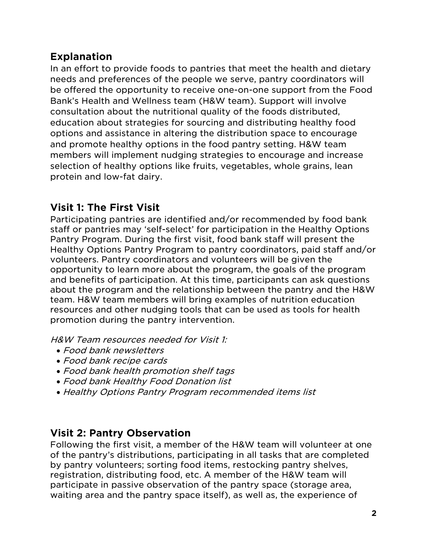# <span id="page-2-0"></span>**Explanation**

In an effort to provide foods to pantries that meet the health and dietary needs and preferences of the people we serve, pantry coordinators will be offered the opportunity to receive one-on-one support from the Food Bank's Health and Wellness team (H&W team). Support will involve consultation about the nutritional quality of the foods distributed, education about strategies for sourcing and distributing healthy food options and assistance in altering the distribution space to encourage and promote healthy options in the food pantry setting. H&W team members will implement nudging strategies to encourage and increase selection of healthy options like fruits, vegetables, whole grains, lean protein and low-fat dairy.

# <span id="page-2-1"></span>**Visit 1: The First Visit**

Participating pantries are identified and/or recommended by food bank staff or pantries may 'self-select' for participation in the Healthy Options Pantry Program. During the first visit, food bank staff will present the Healthy Options Pantry Program to pantry coordinators, paid staff and/or volunteers. Pantry coordinators and volunteers will be given the opportunity to learn more about the program, the goals of the program and benefits of participation. At this time, participants can ask questions about the program and the relationship between the pantry and the H&W team. H&W team members will bring examples of nutrition education resources and other nudging tools that can be used as tools for health promotion during the pantry intervention.

H&W Team resources needed for Visit 1:

- Food bank newsletters
- Food bank recipe cards
- Food bank health promotion shelf tags
- Food bank Healthy Food Donation list
- Healthy Options Pantry Program recommended items list

## <span id="page-2-2"></span>**Visit 2: Pantry Observation**

Following the first visit, a member of the H&W team will volunteer at one of the pantry's distributions, participating in all tasks that are completed by pantry volunteers; sorting food items, restocking pantry shelves, registration, distributing food, etc. A member of the H&W team will participate in passive observation of the pantry space (storage area, waiting area and the pantry space itself), as well as, the experience of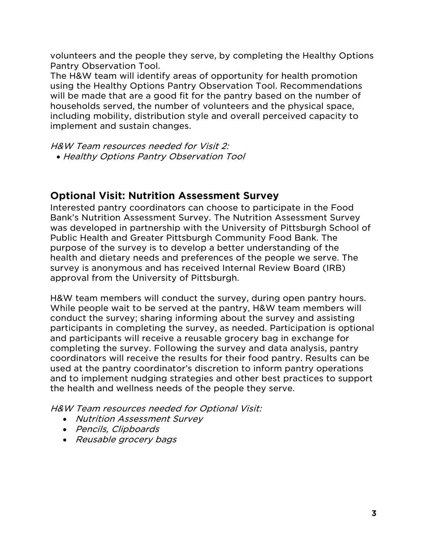volunteers and the people they serve, by completing the Healthy Options Pantry Observation Tool.

The H&W team will identify areas of opportunity for health promotion using the Healthy Options Pantry Observation Tool. Recommendations will be made that are a good fit for the pantry based on the number of households served, the number of volunteers and the physical space, including mobility, distribution style and overall perceived capacity to implement and sustain changes.

H&W Team resources needed for Visit 2: • Healthy Options Pantry Observation Tool

## <span id="page-3-0"></span>**Optional Visit: Nutrition Assessment Survey**

Interested pantry coordinators can choose to participate in the Food Bank's Nutrition Assessment Survey. The Nutrition Assessment Survey was developed in partnership with the University of Pittsburgh School of Public Health and Greater Pittsburgh Community Food Bank. The purpose of the survey is to develop a better understanding of the health and dietary needs and preferences of the people we serve. The survey is anonymous and has received Internal Review Board (IRB) approval from the University of Pittsburgh.

H&W team members will conduct the survey, during open pantry hours. While people wait to be served at the pantry, H&W team members will conduct the survey; sharing informing about the survey and assisting participants in completing the survey, as needed. Participation is optional and participants will receive a reusable grocery bag in exchange for completing the survey. Following the survey and data analysis, pantry coordinators will receive the results for their food pantry. Results can be used at the pantry coordinator's discretion to inform pantry operations and to implement nudging strategies and other best practices to support the health and wellness needs of the people they serve.

H&W Team resources needed for Optional Visit:

- Nutrition Assessment Survey
- Pencils, Clipboards
- Reusable grocery bags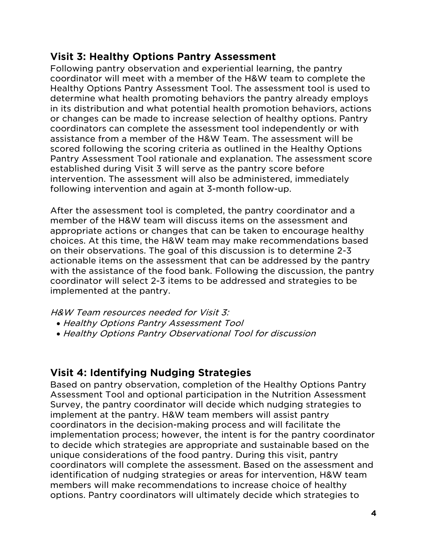# <span id="page-4-0"></span>**Visit 3: Healthy Options Pantry Assessment**

Following pantry observation and experiential learning, the pantry coordinator will meet with a member of the H&W team to complete the Healthy Options Pantry Assessment Tool. The assessment tool is used to determine what health promoting behaviors the pantry already employs in its distribution and what potential health promotion behaviors, actions or changes can be made to increase selection of healthy options. Pantry coordinators can complete the assessment tool independently or with assistance from a member of the H&W Team. The assessment will be scored following the scoring criteria as outlined in the Healthy Options Pantry Assessment Tool rationale and explanation. The assessment score established during Visit 3 will serve as the pantry score before intervention. The assessment will also be administered, immediately following intervention and again at 3-month follow-up.

After the assessment tool is completed, the pantry coordinator and a member of the H&W team will discuss items on the assessment and appropriate actions or changes that can be taken to encourage healthy choices. At this time, the H&W team may make recommendations based on their observations. The goal of this discussion is to determine 2-3 actionable items on the assessment that can be addressed by the pantry with the assistance of the food bank. Following the discussion, the pantry coordinator will select 2-3 items to be addressed and strategies to be implemented at the pantry.

H&W Team resources needed for Visit 3:

- Healthy Options Pantry Assessment Tool
- Healthy Options Pantry Observational Tool for discussion

# <span id="page-4-1"></span>**Visit 4: Identifying Nudging Strategies**

Based on pantry observation, completion of the Healthy Options Pantry Assessment Tool and optional participation in the Nutrition Assessment Survey, the pantry coordinator will decide which nudging strategies to implement at the pantry. H&W team members will assist pantry coordinators in the decision-making process and will facilitate the implementation process; however, the intent is for the pantry coordinator to decide which strategies are appropriate and sustainable based on the unique considerations of the food pantry. During this visit, pantry coordinators will complete the assessment. Based on the assessment and identification of nudging strategies or areas for intervention, H&W team members will make recommendations to increase choice of healthy options. Pantry coordinators will ultimately decide which strategies to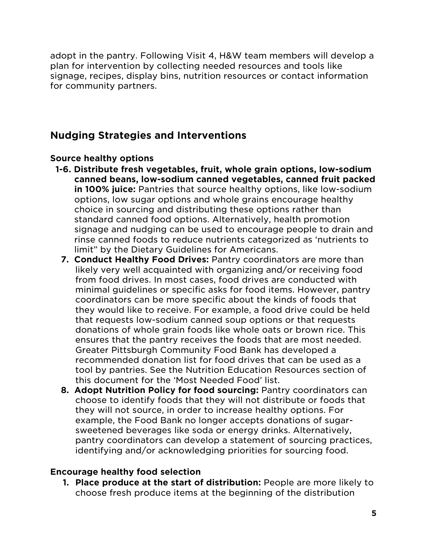adopt in the pantry. Following Visit 4, H&W team members will develop a plan for intervention by collecting needed resources and tools like signage, recipes, display bins, nutrition resources or contact information for community partners.

# <span id="page-5-0"></span>**Nudging Strategies and Interventions**

### <span id="page-5-1"></span>**Source healthy options**

- **1-6. Distribute fresh vegetables, fruit, whole grain options, low-sodium canned beans, low-sodium canned vegetables, canned fruit packed in 100% juice:** Pantries that source healthy options, like low-sodium options, low sugar options and whole grains encourage healthy choice in sourcing and distributing these options rather than standard canned food options. Alternatively, health promotion signage and nudging can be used to encourage people to drain and rinse canned foods to reduce nutrients categorized as 'nutrients to limit" by the Dietary Guidelines for Americans.
	- **7. Conduct Healthy Food Drives:** Pantry coordinators are more than likely very well acquainted with organizing and/or receiving food from food drives. In most cases, food drives are conducted with minimal guidelines or specific asks for food items. However, pantry coordinators can be more specific about the kinds of foods that they would like to receive. For example, a food drive could be held that requests low-sodium canned soup options or that requests donations of whole grain foods like whole oats or brown rice. This ensures that the pantry receives the foods that are most needed. Greater Pittsburgh Community Food Bank has developed a recommended donation list for food drives that can be used as a tool by pantries. See the Nutrition Education Resources section of this document for the 'Most Needed Food' list.
	- **8. Adopt Nutrition Policy for food sourcing: Pantry coordinators can** choose to identify foods that they will not distribute or foods that they will not source, in order to increase healthy options. For example, the Food Bank no longer accepts donations of sugarsweetened beverages like soda or energy drinks. Alternatively, pantry coordinators can develop a statement of sourcing practices, identifying and/or acknowledging priorities for sourcing food.

#### <span id="page-5-2"></span>**Encourage healthy food selection**

**1. Place produce at the start of distribution:** People are more likely to choose fresh produce items at the beginning of the distribution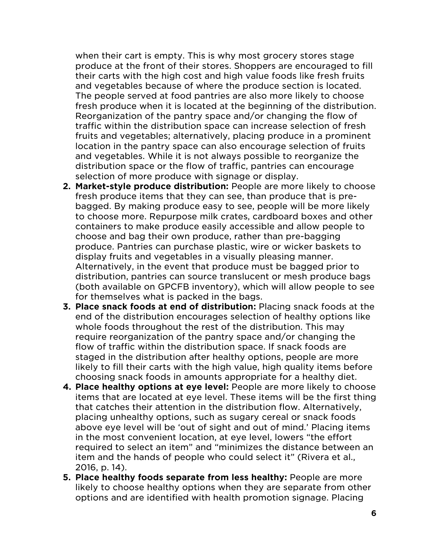when their cart is empty. This is why most grocery stores stage produce at the front of their stores. Shoppers are encouraged to fill their carts with the high cost and high value foods like fresh fruits and vegetables because of where the produce section is located. The people served at food pantries are also more likely to choose fresh produce when it is located at the beginning of the distribution. Reorganization of the pantry space and/or changing the flow of traffic within the distribution space can increase selection of fresh fruits and vegetables; alternatively, placing produce in a prominent location in the pantry space can also encourage selection of fruits and vegetables. While it is not always possible to reorganize the distribution space or the flow of traffic, pantries can encourage selection of more produce with signage or display.

- **2. Market-style produce distribution:** People are more likely to choose fresh produce items that they can see, than produce that is prebagged. By making produce easy to see, people will be more likely to choose more. Repurpose milk crates, cardboard boxes and other containers to make produce easily accessible and allow people to choose and bag their own produce, rather than pre-bagging produce. Pantries can purchase plastic, wire or wicker baskets to display fruits and vegetables in a visually pleasing manner. Alternatively, in the event that produce must be bagged prior to distribution, pantries can source translucent or mesh produce bags (both available on GPCFB inventory), which will allow people to see for themselves what is packed in the bags.
- **3. Place snack foods at end of distribution:** Placing snack foods at the end of the distribution encourages selection of healthy options like whole foods throughout the rest of the distribution. This may require reorganization of the pantry space and/or changing the flow of traffic within the distribution space. If snack foods are staged in the distribution after healthy options, people are more likely to fill their carts with the high value, high quality items before choosing snack foods in amounts appropriate for a healthy diet.
- **4. Place healthy options at eye level:** People are more likely to choose items that are located at eye level. These items will be the first thing that catches their attention in the distribution flow. Alternatively, placing unhealthy options, such as sugary cereal or snack foods above eye level will be 'out of sight and out of mind.' Placing items in the most convenient location, at eye level, lowers "the effort required to select an item" and "minimizes the distance between an item and the hands of people who could select it" (Rivera et al., 2016, p. 14).
- **5. Place healthy foods separate from less healthy:** People are more likely to choose healthy options when they are separate from other options and are identified with health promotion signage. Placing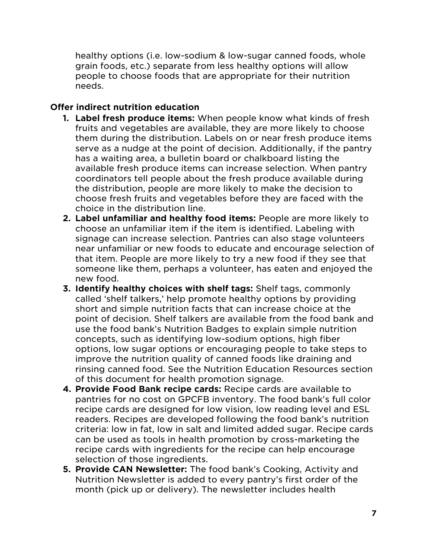healthy options (i.e. low-sodium & low-sugar canned foods, whole grain foods, etc.) separate from less healthy options will allow people to choose foods that are appropriate for their nutrition needs.

## <span id="page-7-0"></span>**Offer indirect nutrition education**

- **1. Label fresh produce items:** When people know what kinds of fresh fruits and vegetables are available, they are more likely to choose them during the distribution. Labels on or near fresh produce items serve as a nudge at the point of decision. Additionally, if the pantry has a waiting area, a bulletin board or chalkboard listing the available fresh produce items can increase selection. When pantry coordinators tell people about the fresh produce available during the distribution, people are more likely to make the decision to choose fresh fruits and vegetables before they are faced with the choice in the distribution line.
- **2. Label unfamiliar and healthy food items:** People are more likely to choose an unfamiliar item if the item is identified. Labeling with signage can increase selection. Pantries can also stage volunteers near unfamiliar or new foods to educate and encourage selection of that item. People are more likely to try a new food if they see that someone like them, perhaps a volunteer, has eaten and enjoyed the new food.
- **3. Identify healthy choices with shelf tags:** Shelf tags, commonly called 'shelf talkers,' help promote healthy options by providing short and simple nutrition facts that can increase choice at the point of decision. Shelf talkers are available from the food bank and use the food bank's Nutrition Badges to explain simple nutrition concepts, such as identifying low-sodium options, high fiber options, low sugar options or encouraging people to take steps to improve the nutrition quality of canned foods like draining and rinsing canned food. See the Nutrition Education Resources section of this document for health promotion signage.
- **4. Provide Food Bank recipe cards:** Recipe cards are available to pantries for no cost on GPCFB inventory. The food bank's full color recipe cards are designed for low vision, low reading level and ESL readers. Recipes are developed following the food bank's nutrition criteria: low in fat, low in salt and limited added sugar. Recipe cards can be used as tools in health promotion by cross-marketing the recipe cards with ingredients for the recipe can help encourage selection of those ingredients.
- **5. Provide CAN Newsletter:** The food bank's Cooking, Activity and Nutrition Newsletter is added to every pantry's first order of the month (pick up or delivery). The newsletter includes health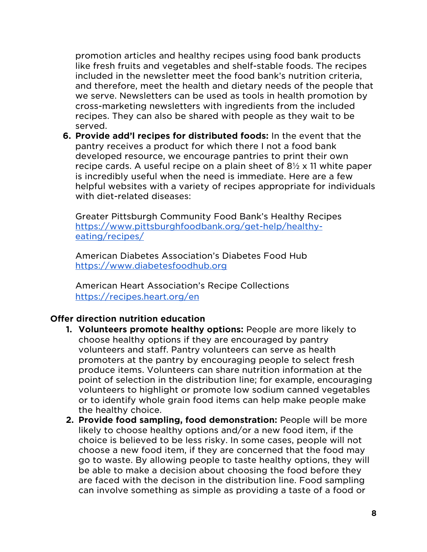promotion articles and healthy recipes using food bank products like fresh fruits and vegetables and shelf-stable foods. The recipes included in the newsletter meet the food bank's nutrition criteria, and therefore, meet the health and dietary needs of the people that we serve. Newsletters can be used as tools in health promotion by cross-marketing newsletters with ingredients from the included recipes. They can also be shared with people as they wait to be served.

**6. Provide add'l recipes for distributed foods:** In the event that the pantry receives a product for which there I not a food bank developed resource, we encourage pantries to print their own recipe cards. A useful recipe on a plain sheet of  $8\frac{1}{2} \times 11$  white paper is incredibly useful when the need is immediate. Here are a few helpful websites with a variety of recipes appropriate for individuals with diet-related diseases:

Greater Pittsburgh Community Food Bank's Healthy Recipes [https://www.pittsburghfoodbank.org/get-help/healthy](https://www.pittsburghfoodbank.org/get-help/healthy-eating/recipes/)[eating/recipes/](https://www.pittsburghfoodbank.org/get-help/healthy-eating/recipes/)

American Diabetes Association's Diabetes Food Hub [https://www.diabetesfoodhub.org](https://www.diabetesfoodhub.org/)

American Heart Association's Recipe Collections <https://recipes.heart.org/en>

#### <span id="page-8-0"></span>**Offer direction nutrition education**

- **1. Volunteers promote healthy options:** People are more likely to choose healthy options if they are encouraged by pantry volunteers and staff. Pantry volunteers can serve as health promoters at the pantry by encouraging people to select fresh produce items. Volunteers can share nutrition information at the point of selection in the distribution line; for example, encouraging volunteers to highlight or promote low sodium canned vegetables or to identify whole grain food items can help make people make the healthy choice.
- **2. Provide food sampling, food demonstration:** People will be more likely to choose healthy options and/or a new food item, if the choice is believed to be less risky. In some cases, people will not choose a new food item, if they are concerned that the food may go to waste. By allowing people to taste healthy options, they will be able to make a decision about choosing the food before they are faced with the decison in the distribution line. Food sampling can involve something as simple as providing a taste of a food or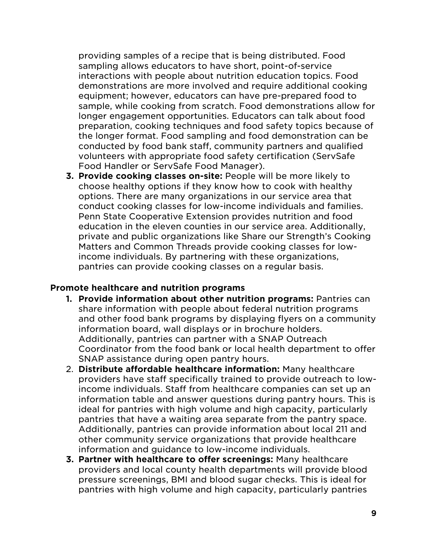providing samples of a recipe that is being distributed. Food sampling allows educators to have short, point-of-service interactions with people about nutrition education topics. Food demonstrations are more involved and require additional cooking equipment; however, educators can have pre-prepared food to sample, while cooking from scratch. Food demonstrations allow for longer engagement opportunities. Educators can talk about food preparation, cooking techniques and food safety topics because of the longer format. Food sampling and food demonstration can be conducted by food bank staff, community partners and qualified volunteers with appropriate food safety certification (ServSafe Food Handler or ServSafe Food Manager).

**3. Provide cooking classes on-site:** People will be more likely to choose healthy options if they know how to cook with healthy options. There are many organizations in our service area that conduct cooking classes for low-income individuals and families. Penn State Cooperative Extension provides nutrition and food education in the eleven counties in our service area. Additionally, private and public organizations like Share our Strength's Cooking Matters and Common Threads provide cooking classes for lowincome individuals. By partnering with these organizations, pantries can provide cooking classes on a regular basis.

#### <span id="page-9-0"></span>**Promote healthcare and nutrition programs**

- **1. Provide information about other nutrition programs:** Pantries can share information with people about federal nutrition programs and other food bank programs by displaying flyers on a community information board, wall displays or in brochure holders. Additionally, pantries can partner with a SNAP Outreach Coordinator from the food bank or local health department to offer SNAP assistance during open pantry hours.
- 2. **Distribute affordable healthcare information:** Many healthcare providers have staff specifically trained to provide outreach to lowincome individuals. Staff from healthcare companies can set up an information table and answer questions during pantry hours. This is ideal for pantries with high volume and high capacity, particularly pantries that have a waiting area separate from the pantry space. Additionally, pantries can provide information about local 211 and other community service organizations that provide healthcare information and guidance to low-income individuals.
- **3. Partner with healthcare to offer screenings:** Many healthcare providers and local county health departments will provide blood pressure screenings, BMI and blood sugar checks. This is ideal for pantries with high volume and high capacity, particularly pantries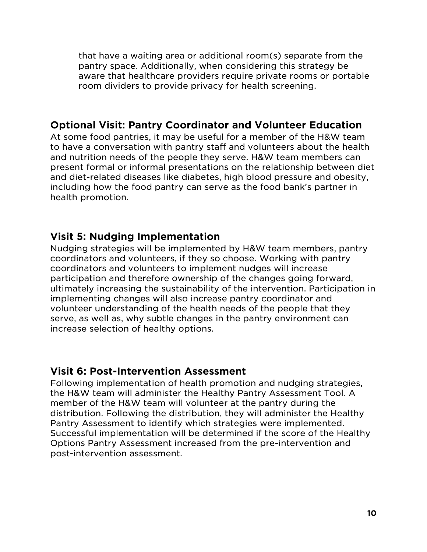that have a waiting area or additional room(s) separate from the pantry space. Additionally, when considering this strategy be aware that healthcare providers require private rooms or portable room dividers to provide privacy for health screening.

## <span id="page-10-0"></span>**Optional Visit: Pantry Coordinator and Volunteer Education**

At some food pantries, it may be useful for a member of the H&W team to have a conversation with pantry staff and volunteers about the health and nutrition needs of the people they serve. H&W team members can present formal or informal presentations on the relationship between diet and diet-related diseases like diabetes, high blood pressure and obesity, including how the food pantry can serve as the food bank's partner in health promotion.

## <span id="page-10-1"></span>**Visit 5: Nudging Implementation**

Nudging strategies will be implemented by H&W team members, pantry coordinators and volunteers, if they so choose. Working with pantry coordinators and volunteers to implement nudges will increase participation and therefore ownership of the changes going forward, ultimately increasing the sustainability of the intervention. Participation in implementing changes will also increase pantry coordinator and volunteer understanding of the health needs of the people that they serve, as well as, why subtle changes in the pantry environment can increase selection of healthy options.

## <span id="page-10-2"></span>**Visit 6: Post-Intervention Assessment**

Following implementation of health promotion and nudging strategies, the H&W team will administer the Healthy Pantry Assessment Tool. A member of the H&W team will volunteer at the pantry during the distribution. Following the distribution, they will administer the Healthy Pantry Assessment to identify which strategies were implemented. Successful implementation will be determined if the score of the Healthy Options Pantry Assessment increased from the pre-intervention and post-intervention assessment.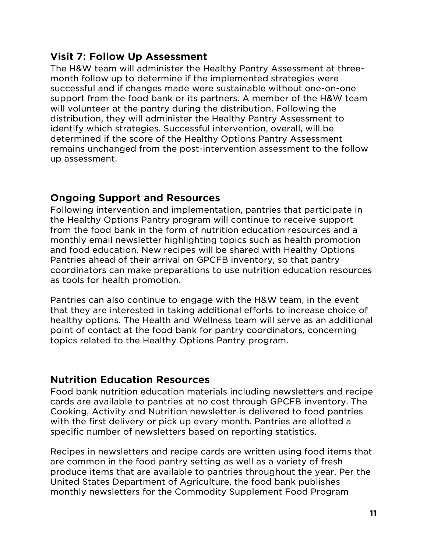# <span id="page-11-0"></span>**Visit 7: Follow Up Assessment**

The H&W team will administer the Healthy Pantry Assessment at threemonth follow up to determine if the implemented strategies were successful and if changes made were sustainable without one-on-one support from the food bank or its partners. A member of the H&W team will volunteer at the pantry during the distribution. Following the distribution, they will administer the Healthy Pantry Assessment to identify which strategies. Successful intervention, overall, will be determined if the score of the Healthy Options Pantry Assessment remains unchanged from the post-intervention assessment to the follow up assessment.

## <span id="page-11-1"></span>**Ongoing Support and Resources**

Following intervention and implementation, pantries that participate in the Healthy Options Pantry program will continue to receive support from the food bank in the form of nutrition education resources and a monthly email newsletter highlighting topics such as health promotion and food education. New recipes will be shared with Healthy Options Pantries ahead of their arrival on GPCFB inventory, so that pantry coordinators can make preparations to use nutrition education resources as tools for health promotion.

Pantries can also continue to engage with the H&W team, in the event that they are interested in taking additional efforts to increase choice of healthy options. The Health and Wellness team will serve as an additional point of contact at the food bank for pantry coordinators, concerning topics related to the Healthy Options Pantry program.

## <span id="page-11-2"></span>**Nutrition Education Resources**

Food bank nutrition education materials including newsletters and recipe cards are available to pantries at no cost through GPCFB inventory. The Cooking, Activity and Nutrition newsletter is delivered to food pantries with the first delivery or pick up every month. Pantries are allotted a specific number of newsletters based on reporting statistics.

Recipes in newsletters and recipe cards are written using food items that are common in the food pantry setting as well as a variety of fresh produce items that are available to pantries throughout the year. Per the United States Department of Agriculture, the food bank publishes monthly newsletters for the Commodity Supplement Food Program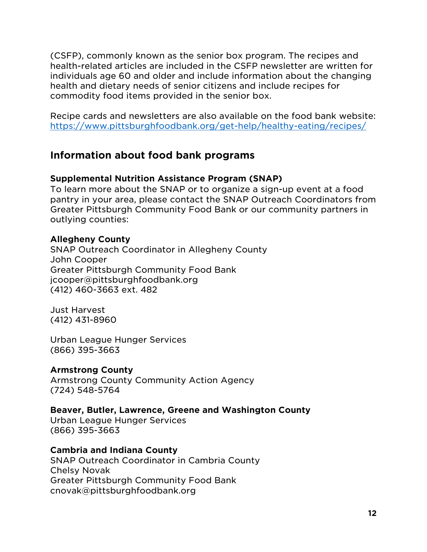(CSFP), commonly known as the senior box program. The recipes and health-related articles are included in the CSFP newsletter are written for individuals age 60 and older and include information about the changing health and dietary needs of senior citizens and include recipes for commodity food items provided in the senior box.

Recipe cards and newsletters are also available on the food bank website: <https://www.pittsburghfoodbank.org/get-help/healthy-eating/recipes/>

## <span id="page-12-0"></span>**Information about food bank programs**

#### <span id="page-12-1"></span>**Supplemental Nutrition Assistance Program (SNAP)**

To learn more about the SNAP or to organize a sign-up event at a food pantry in your area, please contact the SNAP Outreach Coordinators from Greater Pittsburgh Community Food Bank or our community partners in outlying counties:

#### **Allegheny County**

SNAP Outreach Coordinator in Allegheny County John Cooper Greater Pittsburgh Community Food Bank jcooper@pittsburghfoodbank.org (412) 460-3663 ext. 482

Just Harvest (412) 431-8960

Urban League Hunger Services (866) 395-3663

#### **Armstrong County**

Armstrong County Community Action Agency (724) 548-5764

#### **Beaver, Butler, Lawrence, Greene and Washington County**

Urban League Hunger Services (866) 395-3663

#### **Cambria and Indiana County**

SNAP Outreach Coordinator in Cambria County Chelsy Novak Greater Pittsburgh Community Food Bank cnovak@pittsburghfoodbank.org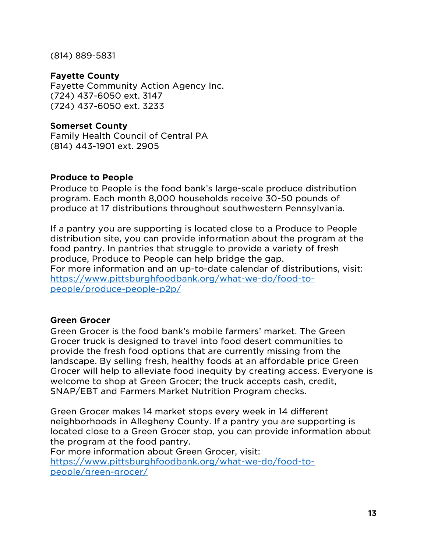(814) 889-5831

#### **Fayette County**

Fayette Community Action Agency Inc. (724) 437-6050 ext. 3147 (724) 437-6050 ext. 3233

### **Somerset County**

Family Health Council of Central PA (814) 443-1901 ext. 2905

### <span id="page-13-0"></span>**Produce to People**

Produce to People is the food bank's large-scale produce distribution program. Each month 8,000 households receive 30-50 pounds of produce at 17 distributions throughout southwestern Pennsylvania.

If a pantry you are supporting is located close to a Produce to People distribution site, you can provide information about the program at the food pantry. In pantries that struggle to provide a variety of fresh produce, Produce to People can help bridge the gap. For more information and an up-to-date calendar of distributions, visit: [https://www.pittsburghfoodbank.org/what-we-do/food-to](https://www.pittsburghfoodbank.org/what-we-do/food-to-people/produce-people-p2p/)[people/produce-people-p2p/](https://www.pittsburghfoodbank.org/what-we-do/food-to-people/produce-people-p2p/)

## <span id="page-13-1"></span>**Green Grocer**

Green Grocer is the food bank's mobile farmers' market. The Green Grocer truck is designed to travel into food desert communities to provide the fresh food options that are currently missing from the landscape. By selling fresh, healthy foods at an affordable price Green Grocer will help to alleviate food inequity by creating access. Everyone is welcome to shop at Green Grocer; the truck accepts cash, credit, SNAP/EBT and Farmers Market Nutrition Program checks.

Green Grocer makes 14 market stops every week in 14 different neighborhoods in Allegheny County. If a pantry you are supporting is located close to a Green Grocer stop, you can provide information about the program at the food pantry.

For more information about Green Grocer, visit: [https://www.pittsburghfoodbank.org/what-we-do/food-to](https://www.pittsburghfoodbank.org/what-we-do/food-to-people/green-grocer/)[people/green-grocer/](https://www.pittsburghfoodbank.org/what-we-do/food-to-people/green-grocer/)